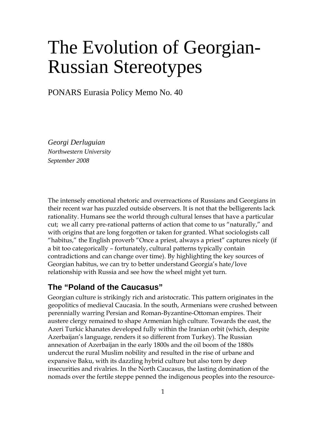# The Evolution of Georgian-Russian Stereotypes

PONARS Eurasia Policy Memo No. 40

*Georgi Derluguian Northwestern University September 2008* 

The intensely emotional rhetoric and overreactions of Russians and Georgians in their recent war has puzzled outside observers. It is not that the belligerents lack rationality. Humans see the world through cultural lenses that have a particular cut; we all carry pre-rational patterns of action that come to us "naturally," and with origins that are long forgotten or taken for granted. What sociologists call "habitus," the English proverb "Once a priest, always a priest" captures nicely (if a bit too categorically – fortunately, cultural patterns typically contain contradictions and can change over time). By highlighting the key sources of Georgian habitus, we can try to better understand Georgia's hate/love relationship with Russia and see how the wheel might yet turn.

# **The "Poland of the Caucasus"**

Georgian culture is strikingly rich and aristocratic. This pattern originates in the geopolitics of medieval Caucasia. In the south, Armenians were crushed between perennially warring Persian and Roman-Byzantine-Ottoman empires. Their austere clergy remained to shape Armenian high culture. Towards the east, the Azeri Turkic khanates developed fully within the Iranian orbit (which, despite Azerbaijan's language, renders it so different from Turkey). The Russian annexation of Azerbaijan in the early 1800s and the oil boom of the 1880s undercut the rural Muslim nobility and resulted in the rise of urbane and expansive Baku, with its dazzling hybrid culture but also torn by deep insecurities and rivalries. In the North Caucasus, the lasting domination of the nomads over the fertile steppe penned the indigenous peoples into the resource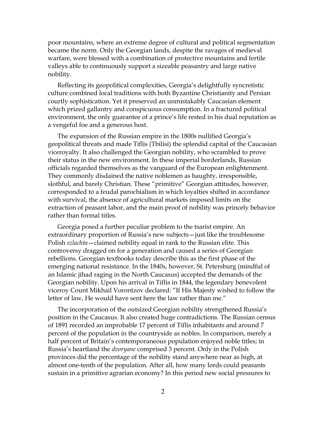poor mountains, where an extreme degree of cultural and political segmentation became the norm. Only the Georgian lands, despite the ravages of medieval warfare, were blessed with a combination of protective mountains and fertile valleys able to continuously support a sizeable peasantry and large native nobility.

Reflecting its geopolitical complexities, Georgia's delightfully syncretistic culture combined local traditions with both Byzantine Christianity and Persian courtly sophistication. Yet it preserved an unmistakably Caucasian element which prized gallantry and conspicuous consumption. In a fractured political environment, the only guarantee of a prince's life rested in his dual reputation as a vengeful foe and a generous host.

The expansion of the Russian empire in the 1800s nullified Georgia's geopolitical threats and made Tiflis (Tbilisi) the splendid capital of the Caucasian viceroyalty. It also challenged the Georgian nobility, who scrambled to prove their status in the new environment. In these imperial borderlands, Russian officials regarded themselves as the vanguard of the European enlightenment. They commonly disdained the native noblemen as haughty, irresponsible, slothful, and barely Christian. These "primitive" Georgian attitudes, however, corresponded to a feudal parochialism in which loyalties shifted in accordance with survival, the absence of agricultural markets imposed limits on the extraction of peasant labor, and the main proof of nobility was princely behavior rather than formal titles.

Georgia posed a further peculiar problem to the tsarist empire. An extraordinary proportion of Russia's new subjects—just like the troublesome Polish *szlachta*—claimed nobility equal in rank to the Russian elite. This controversy dragged on for a generation and caused a series of Georgian rebellions. Georgian textbooks today describe this as the first phase of the emerging national resistance. In the 1840s, however, St. Petersburg (mindful of an Islamic jihad raging in the North Caucasus) accepted the demands of the Georgian nobility. Upon his arrival in Tiflis in 1844, the legendary benevolent viceroy Count Mikhail Vorontzov declared: "If His Majesty wished to follow the letter of law, He would have sent here the law rather than me."

The incorporation of the outsized Georgian nobility strengthened Russia's position in the Caucasus. It also created huge contradictions. The Russian census of 1891 recorded an improbable 17 percent of Tiflis inhabitants and around 7 percent of the population in the countryside as nobles. In comparison, merely a half percent of Britain's contemporaneous population enjoyed noble titles; in Russia's heartland the *dvoryane* comprised 3 percent. Only in the Polish provinces did the percentage of the nobility stand anywhere near as high, at almost one-tenth of the population. After all, how many lords could peasants sustain in a primitive agrarian economy? In this period new social pressures to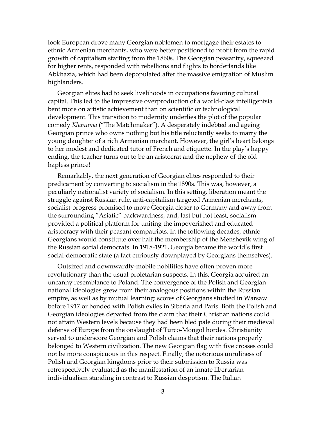look European drove many Georgian noblemen to mortgage their estates to ethnic Armenian merchants, who were better positioned to profit from the rapid growth of capitalism starting from the 1860s. The Georgian peasantry, squeezed for higher rents, responded with rebellions and flights to borderlands like Abkhazia, which had been depopulated after the massive emigration of Muslim highlanders.

Georgian elites had to seek livelihoods in occupations favoring cultural capital. This led to the impressive overproduction of a world-class intelligentsia bent more on artistic achievement than on scientific or technological development. This transition to modernity underlies the plot of the popular comedy *Khanuma* ("The Matchmaker"). A desperately indebted and ageing Georgian prince who owns nothing but his title reluctantly seeks to marry the young daughter of a rich Armenian merchant. However, the girl's heart belongs to her modest and dedicated tutor of French and etiquette. In the play's happy ending, the teacher turns out to be an aristocrat and the nephew of the old hapless prince!

Remarkably, the next generation of Georgian elites responded to their predicament by converting to socialism in the 1890s. This was, however, a peculiarly nationalist variety of socialism. In this setting, liberation meant the struggle against Russian rule, anti-capitalism targeted Armenian merchants, socialist progress promised to move Georgia closer to Germany and away from the surrounding "Asiatic" backwardness, and, last but not least, socialism provided a political platform for uniting the impoverished and educated aristocracy with their peasant compatriots. In the following decades, ethnic Georgians would constitute over half the membership of the Menshevik wing of the Russian social democrats. In 1918-1921, Georgia became the world's first social-democratic state (a fact curiously downplayed by Georgians themselves).

Outsized and downwardly-mobile nobilities have often proven more revolutionary than the usual proletarian suspects. In this, Georgia acquired an uncanny resemblance to Poland. The convergence of the Polish and Georgian national ideologies grew from their analogous positions within the Russian empire, as well as by mutual learning: scores of Georgians studied in Warsaw before 1917 or bonded with Polish exiles in Siberia and Paris. Both the Polish and Georgian ideologies departed from the claim that their Christian nations could not attain Western levels because they had been bled pale during their medieval defense of Europe from the onslaught of Turco-Mongol hordes. Christianity served to underscore Georgian and Polish claims that their nations properly belonged to Western civilization. The new Georgian flag with five crosses could not be more conspicuous in this respect. Finally, the notorious unruliness of Polish and Georgian kingdoms prior to their submission to Russia was retrospectively evaluated as the manifestation of an innate libertarian individualism standing in contrast to Russian despotism. The Italian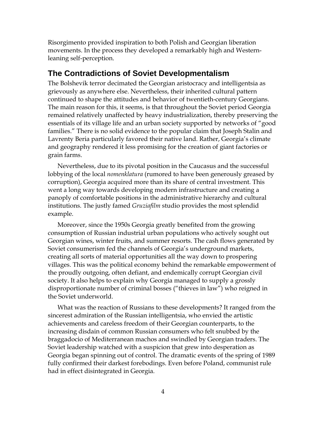Risorgimento provided inspiration to both Polish and Georgian liberation movements. In the process they developed a remarkably high and Westernleaning self-perception.

## **The Contradictions of Soviet Developmentalism**

The Bolshevik terror decimated the Georgian aristocracy and intelligentsia as grievously as anywhere else. Nevertheless, their inherited cultural pattern continued to shape the attitudes and behavior of twentieth-century Georgians. The main reason for this, it seems, is that throughout the Soviet period Georgia remained relatively unaffected by heavy industrialization, thereby preserving the essentials of its village life and an urban society supported by networks of "good families." There is no solid evidence to the popular claim that Joseph Stalin and Lavrenty Beria particularly favored their native land. Rather, Georgia's climate and geography rendered it less promising for the creation of giant factories or grain farms.

Nevertheless, due to its pivotal position in the Caucasus and the successful lobbying of the local *nomenklatura* (rumored to have been generously greased by corruption), Georgia acquired more than its share of central investment. This went a long way towards developing modern infrastructure and creating a panoply of comfortable positions in the administrative hierarchy and cultural institutions. The justly famed *Gruziafilm* studio provides the most splendid example.

Moreover, since the 1950s Georgia greatly benefited from the growing consumption of Russian industrial urban populations who actively sought out Georgian wines, winter fruits, and summer resorts. The cash flows generated by Soviet consumerism fed the channels of Georgia's underground markets, creating all sorts of material opportunities all the way down to prospering villages. This was the political economy behind the remarkable empowerment of the proudly outgoing, often defiant, and endemically corrupt Georgian civil society. It also helps to explain why Georgia managed to supply a grossly disproportionate number of criminal bosses ("thieves in law") who reigned in the Soviet underworld.

What was the reaction of Russians to these developments? It ranged from the sincerest admiration of the Russian intelligentsia, who envied the artistic achievements and careless freedom of their Georgian counterparts, to the increasing disdain of common Russian consumers who felt snubbed by the braggadocio of Mediterranean machos and swindled by Georgian traders. The Soviet leadership watched with a suspicion that grew into desperation as Georgia began spinning out of control. The dramatic events of the spring of 1989 fully confirmed their darkest forebodings. Even before Poland, communist rule had in effect disintegrated in Georgia.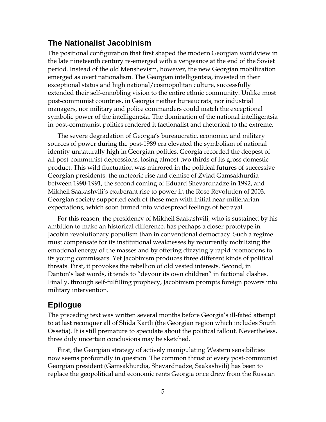### **The Nationalist Jacobinism**

The positional configuration that first shaped the modern Georgian worldview in the late nineteenth century re-emerged with a vengeance at the end of the Soviet period. Instead of the old Menshevism, however, the new Georgian mobilization emerged as overt nationalism. The Georgian intelligentsia, invested in their exceptional status and high national/cosmopolitan culture, successfully extended their self-ennobling vision to the entire ethnic community. Unlike most post-communist countries, in Georgia neither bureaucrats, nor industrial managers, nor military and police commanders could match the exceptional symbolic power of the intelligentsia. The domination of the national intelligentsia in post-communist politics rendered it factionalist and rhetorical to the extreme.

The severe degradation of Georgia's bureaucratic, economic, and military sources of power during the post-1989 era elevated the symbolism of national identity unnaturally high in Georgian politics. Georgia recorded the deepest of all post-communist depressions, losing almost two thirds of its gross domestic product. This wild fluctuation was mirrored in the political futures of successive Georgian presidents: the meteoric rise and demise of Zviad Gamsakhurdia between 1990-1991, the second coming of Eduard Shevardnadze in 1992, and Mikheil Saakashvili's exuberant rise to power in the Rose Revolution of 2003. Georgian society supported each of these men with initial near-millenarian expectations, which soon turned into widespread feelings of betrayal.

For this reason, the presidency of Mikheil Saakashvili, who is sustained by his ambition to make an historical difference, has perhaps a closer prototype in Jacobin revolutionary populism than in conventional democracy. Such a regime must compensate for its institutional weaknesses by recurrently mobilizing the emotional energy of the masses and by offering dizzyingly rapid promotions to its young commissars. Yet Jacobinism produces three different kinds of political threats. First, it provokes the rebellion of old vested interests. Second, in Danton's last words, it tends to "devour its own children" in factional clashes. Finally, through self-fulfilling prophecy, Jacobinism prompts foreign powers into military intervention.

#### **Epilogue**

The preceding text was written several months before Georgia's ill-fated attempt to at last reconquer all of Shida Kartli (the Georgian region which includes South Ossetia). It is still premature to speculate about the political fallout. Nevertheless, three duly uncertain conclusions may be sketched.

First, the Georgian strategy of actively manipulating Western sensibilities now seems profoundly in question. The common thrust of every post-communist Georgian president (Gamsakhurdia, Shevardnadze, Saakashvili) has been to replace the geopolitical and economic rents Georgia once drew from the Russian